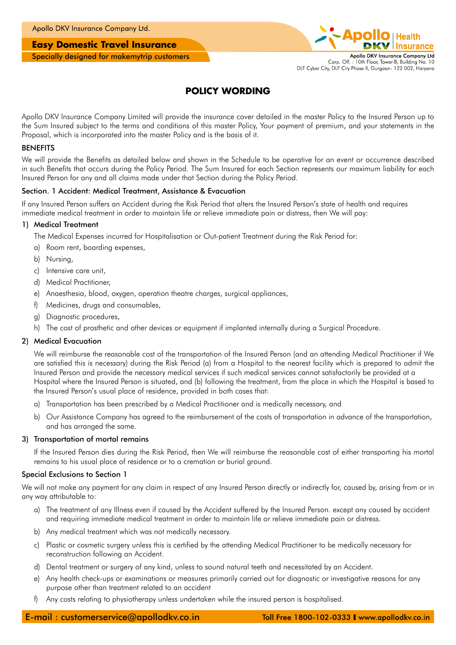#### **Easy Domestic Travel Insurance**

Specially designed for makemytrip customers



### **POLICY WORDING**

Apollo DKV Insurance Company Limited will provide the insurance cover detailed in the master Policy to the Insured Person up to the Sum Insured subject to the terms and conditions of this master Policy, Your payment of premium, and your statements in the Proposal, which is incorporated into the master Policy and is the basis of it.

#### **BENEFITS**

We will provide the Benefits as detailed below and shown in the Schedule to be operative for an event or occurrence described in such Benefits that occurs during the Policy Period. The Sum Insured for each Section represents our maximum liability for each Insured Person for any and all claims made under that Section during the Policy Period.

#### Section. 1 Accident: Medical Treatment, Assistance & Evacuation

If any Insured Person suffers an Accident during the Risk Period that alters the Insured Person's state of health and requires immediate medical treatment in order to maintain life or relieve immediate pain or distress, then We will pay:

#### 1) Medical Treatment

The Medical Expenses incurred for Hospitalisation or Out-patient Treatment during the Risk Period for:

- a) Room rent, boarding expenses,
- b) Nursing,
- c) Intensive care unit,
- d) Medical Practitioner,
- e) Anaesthesia, blood, oxygen, operation theatre charges, surgical appliances,
- f) Medicines, drugs and consumables,
- g) Diagnostic procedures,
- h) The cost of prosthetic and other devices or equipment if implanted internally during a Surgical Procedure.

#### 2) Medical Evacuation

We will reimburse the reasonable cost of the transportation of the Insured Person (and an attending Medical Practitioner if We are satisfied this is necessary) during the Risk Period (a) from a Hospital to the nearest facility which is prepared to admit the Insured Person and provide the necessary medical services if such medical services cannot satisfactorily be provided at a Hospital where the Insured Person is situated, and (b) following the treatment, from the place in which the Hospital is based to the Insured Person's usual place of residence, provided in both cases that:

- a) Transportation has been prescribed by a Medical Practitioner and is medically necessary, and
- b) Our Assistance Company has agreed to the reimbursement of the costs of transportation in advance of the transportation, and has arranged the same.

#### 3) Transportation of mortal remains

If the Insured Person dies during the Risk Period, then We will reimburse the reasonable cost of either transporting his mortal remains to his usual place of residence or to a cremation or burial ground.

#### Special Exclusions to Section 1

We will not make any payment for any claim in respect of any Insured Person directly or indirectly for, caused by, arising from or in any way attributable to:

- a) The treatment of any Illness even if caused by the Accident suffered by the Insured Person. except any caused by accident and requiring immediate medical treatment in order to maintain life or relieve immediate pain or distress.
- b) Any medical treatment which was not medically necessary.
- c) Plastic or cosmetic surgery unless this is certified by the attending Medical Practitioner to be medically necessary for reconstruction following an Accident.
- d) Dental treatment or surgery of any kind, unless to sound natural teeth and necessitated by an Accident.
- e) Any health check-ups or examinations or measures primarily carried out for diagnostic or investigative reasons for any purpose other than treatment related to an accident
- f) Any costs relating to physiotherapy unless undertaken while the insured person is hospitalised.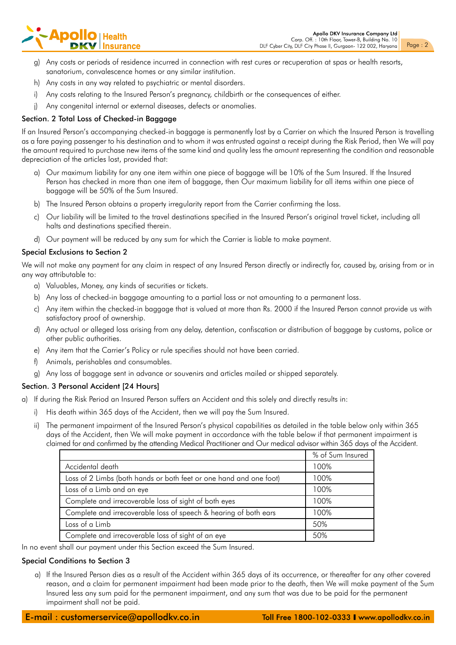

- g) Any costs or periods of residence incurred in connection with rest cures or recuperation at spas or health resorts, sanatorium, convalescence homes or any similar institution.
- h) Any costs in any way related to psychiatric or mental disorders.
- i) Any costs relating to the Insured Person's pregnancy, childbirth or the consequences of either.
- j) Any congenital internal or external diseases, defects or anomalies.

#### Section. 2 Total Loss of Checked-in Baggage

If an Insured Person's accompanying checked-in baggage is permanently lost by a Carrier on which the Insured Person is travelling as a fare paying passenger to his destination and to whom it was entrusted against a receipt during the Risk Period, then We will pay the amount required to purchase new items of the same kind and quality less the amount representing the condition and reasonable depreciation of the articles lost, provided that:

- a) Our maximum liability for any one item within one piece of baggage will be 10% of the Sum Insured. If the Insured Person has checked in more than one item of baggage, then Our maximum liability for all items within one piece of baggage will be 50% of the Sum Insured.
- b) The Insured Person obtains a property irregularity report from the Carrier confirming the loss.
- c) Our liability will be limited to the travel destinations specified in the Insured Person's original travel ticket, including all halts and destinations specified therein.
- d) Our payment will be reduced by any sum for which the Carrier is liable to make payment.

#### Special Exclusions to Section 2

We will not make any payment for any claim in respect of any Insured Person directly or indirectly for, caused by, arising from or in any way attributable to:

- a) Valuables, Money, any kinds of securities or tickets.
- b) Any loss of checked-in baggage amounting to a partial loss or not amounting to a permanent loss.
- c) Any item within the checked-in baggage that is valued at more than Rs. 2000 if the Insured Person cannot provide us with satisfactory proof of ownership.
- d) Any actual or alleged loss arising from any delay, detention, confiscation or distribution of baggage by customs, police or other public authorities.
- e) Any item that the Carrier's Policy or rule specifies should not have been carried.
- f) Animals, perishables and consumables.
- g) Any loss of baggage sent in advance or souvenirs and articles mailed or shipped separately.

#### Section. 3 Personal Accident [24 Hours]

a) If during the Risk Period an Insured Person suffers an Accident and this solely and directly results in:

- i) His death within 365 days of the Accident, then we will pay the Sum Insured.
- ii) The permanent impairment of the Insured Person's physical capabilities as detailed in the table below only within 365 days of the Accident, then We will make payment in accordance with the table below if that permanent impairment is claimed for and confirmed by the attending Medical Practitioner and Our medical advisor within 365 days of the Accident.

|                                                                    | % of Sum Insured |
|--------------------------------------------------------------------|------------------|
| Accidental death                                                   | 100%             |
| Loss of 2 Limbs (both hands or both feet or one hand and one foot) | 100%             |
| Loss of a Limb and an eye                                          | 100%             |
| Complete and irrecoverable loss of sight of both eyes              | 100%             |
| Complete and irrecoverable loss of speech & hearing of both ears   | $100\%$          |
| Loss of a Limb                                                     | 50%              |
| Complete and irrecoverable loss of sight of an eye                 | 50%              |

In no event shall our payment under this Section exceed the Sum Insured.

#### Special Conditions to Section 3

a) If the Insured Person dies as a result of the Accident within 365 days of its occurrence, or thereafter for any other covered reason, and a claim for permanent impairment had been made prior to the death, then We will make payment of the Sum Insured less any sum paid for the permanent impairment, and any sum that was due to be paid for the permanent impairment shall not be paid.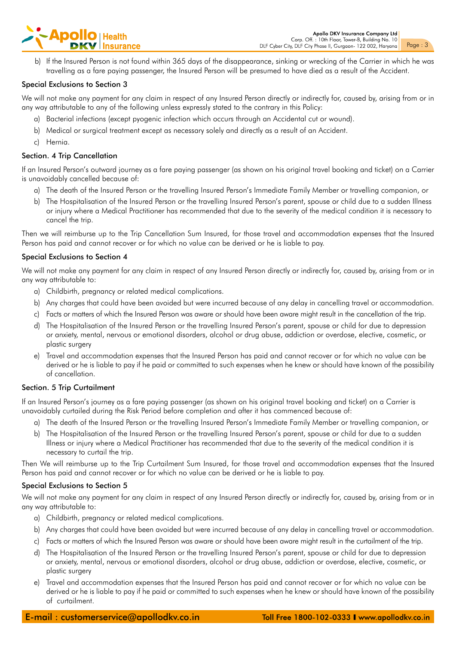- **Apollo** | Health
	- b) If the Insured Person is not found within 365 days of the disappearance, sinking or wrecking of the Carrier in which he was travelling as a fare paying passenger, the Insured Person will be presumed to have died as a result of the Accident.

#### Special Exclusions to Section 3

We will not make any payment for any claim in respect of any Insured Person directly or indirectly for, caused by, arising from or in any way attributable to any of the following unless expressly stated to the contrary in this Policy:

- a) Bacterial infections (except pyogenic infection which occurs through an Accidental cut or wound).
- b) Medical or surgical treatment except as necessary solely and directly as a result of an Accident.
- c) Hernia.

#### Section. 4 Trip Cancellation

If an Insured Person's outward journey as a fare paying passenger (as shown on his original travel booking and ticket) on a Carrier is unavoidably cancelled because of:

- a) The death of the Insured Person or the travelling Insured Person's Immediate Family Member or travelling companion, or
- b) The Hospitalisation of the Insured Person or the travelling Insured Person's parent, spouse or child due to a sudden Illness or injury where a Medical Practitioner has recommended that due to the severity of the medical condition it is necessary to cancel the trip.

Then we will reimburse up to the Trip Cancellation Sum Insured, for those travel and accommodation expenses that the Insured Person has paid and cannot recover or for which no value can be derived or he is liable to pay.

#### Special Exclusions to Section 4

We will not make any payment for any claim in respect of any Insured Person directly or indirectly for, caused by, arising from or in any way attributable to:

- a) Childbirth, pregnancy or related medical complications.
- b) Any charges that could have been avoided but were incurred because of any delay in cancelling travel or accommodation.
- c) Facts or matters of which the Insured Person was aware or should have been aware might result in the cancellation of the trip.
- d) The Hospitalisation of the Insured Person or the travelling Insured Person's parent, spouse or child for due to depression or anxiety, mental, nervous or emotional disorders, alcohol or drug abuse, addiction or overdose, elective, cosmetic, or plastic surgery
- e) Travel and accommodation expenses that the Insured Person has paid and cannot recover or for which no value can be derived or he is liable to pay if he paid or committed to such expenses when he knew or should have known of the possibility of cancellation.

#### Section. 5 Trip Curtailment

If an Insured Person's journey as a fare paying passenger (as shown on his original travel booking and ticket) on a Carrier is unavoidably curtailed during the Risk Period before completion and after it has commenced because of:

- a) The death of the Insured Person or the travelling Insured Person's Immediate Family Member or travelling companion, or
- b) The Hospitalisation of the Insured Person or the travelling Insured Person's parent, spouse or child for due to a sudden Illness or injury where a Medical Practitioner has recommended that due to the severity of the medical condition it is necessary to curtail the trip.

Then We will reimburse up to the Trip Curtailment Sum Insured, for those travel and accommodation expenses that the Insured Person has paid and cannot recover or for which no value can be derived or he is liable to pay.

#### Special Exclusions to Section 5

We will not make any payment for any claim in respect of any Insured Person directly or indirectly for, caused by, arising from or in any way attributable to:

- a) Childbirth, pregnancy or related medical complications.
- b) Any charges that could have been avoided but were incurred because of any delay in cancelling travel or accommodation.
- c) Facts or matters of which the Insured Person was aware or should have been aware might result in the curtailment of the trip.
- d) The Hospitalisation of the Insured Person or the travelling Insured Person's parent, spouse or child for due to depression or anxiety, mental, nervous or emotional disorders, alcohol or drug abuse, addiction or overdose, elective, cosmetic, or plastic surgery
- e) Travel and accommodation expenses that the Insured Person has paid and cannot recover or for which no value can be derived or he is liable to pay if he paid or committed to such expenses when he knew or should have known of the possibility of curtailment.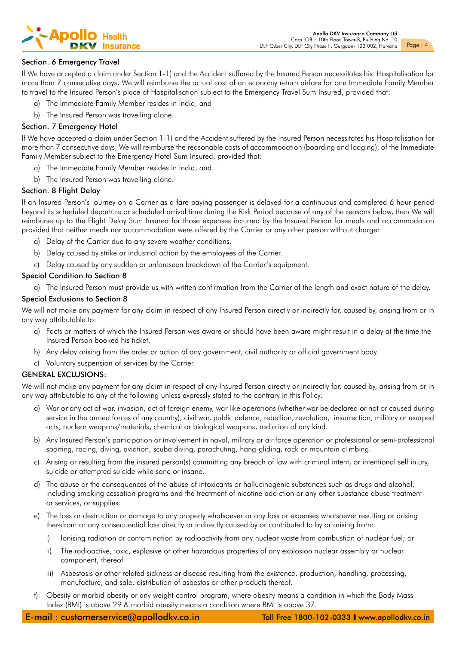

#### Section. 6 Emergency Travel

If We have accepted a claim under Section 1-1) and the Accident suffered by the Insured Person necessitates his Hospitalisation for more than 7 consecutive days, We will reimburse the actual cost of an economy return airfare for one Immediate Family Member to travel to the Insured Person's place of Hospitalisation subject to the Emergency Travel Sum Insured, provided that:

- a) The Immediate Family Member resides in India, and
- b) The Insured Person was travelling alone.

#### Section. 7 Emergency Hotel

If We have accepted a claim under Section 1-1) and the Accident suffered by the Insured Person necessitates his Hospitalisation for more than 7 consecutive days, We will reimburse the reasonable costs of accommodation (boarding and lodging), of the Immediate Family Member subject to the Emergency Hotel Sum Insured, provided that:

- a) The Immediate Family Member resides in India, and
- b) The Insured Person was travelling alone.

#### Section. 8 Flight Delay

If an Insured Person's journey on a Carrier as a fare paying passenger is delayed for a continuous and completed 6 hour period beyond its scheduled departure or scheduled arrival time during the Risk Period because of any of the reasons below, then We will reimburse up to the Flight Delay Sum Insured for those expenses incurred by the Insured Person for meals and accommodation provided that neither meals nor accommodation were offered by the Carrier or any other person without charge:

- a) Delay of the Carrier due to any severe weather conditions.
- b) Delay caused by strike or industrial action by the employees of the Carrier.
- c) Delay caused by any sudden or unforeseen breakdown of the Carrier's equipment.

#### Special Condition to Section 8

a) The Insured Person must provide us with written confirmation from the Carrier of the length and exact nature of the delay.

#### Special Exclusions to Section 8

We will not make any payment for any claim in respect of any Insured Person directly or indirectly for, caused by, arising from or in any way attributable to:

- a) Facts or matters of which the Insured Person was aware or should have been aware might result in a delay at the time the Insured Person booked his ticket.
- b) Any delay arising from the order or action of any government, civil authority or official government body.
- c) Voluntary suspension of services by the Carrier.

#### GENERAL EXCLUSIONS:

We will not make any payment for any claim in respect of any Insured Person directly or indirectly for, caused by, arising from or in any way attributable to any of the following unless expressly stated to the contrary in this Policy:

- a) War or any act of war, invasion, act of foreign enemy, war like operations (whether war be declared or not or caused during service in the armed forces of any country), civil war, public defence, rebellion, revolution, insurrection, military or usurped acts, nuclear weapons/materials, chemical or biological weapons, radiation of any kind.
- b) Any Insured Person's participation or involvement in naval, military or air force operation or professional or semi-professional sporting, racing, diving, aviation, scuba diving, parachuting, hang-gliding, rock or mountain climbing.
- c) Arising or resulting from the insured person(s) committing any breach of law with criminal intent, or intentional self injury, suicide or attempted suicide while sane or insane.
- d) The abuse or the consequences of the abuse of intoxicants or hallucinogenic substances such as drugs and alcohol, including smoking cessation programs and the treatment of nicotine addiction or any other substance abuse treatment or services, or supplies.
- e) The loss or destruction or damage to any property whatsoever or any loss or expenses whatsoever resulting or arising therefrom or any consequential loss directly or indirectly caused by or contributed to by or arising from:
	- i) Ionising radiation or contamination by radioactivity from any nuclear waste from combustion of nuclear fuel; or
	- ii) The radioactive, toxic, explosive or other hazardous properties of any explosion nuclear assembly or nuclear component, thereof
	- iii) Asbestosis or other related sickness or disease resulting from the existence, production, handling, processing, manufacture, and sale, distribution of asbestos or other products thereof.
- f) Obesity or morbid obesity or any weight control program, where obesity means a condition in which the Body Mass Index (BMI) is above 29 & morbid obesity means a condition where BMI is above 37.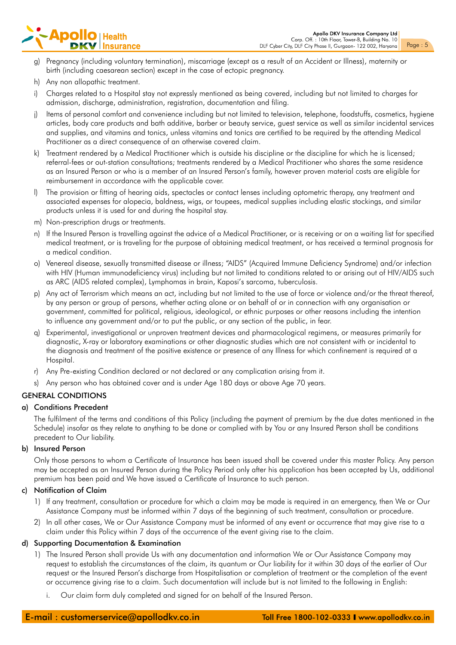# - **Apollo** | Health

- g) Pregnancy (including voluntary termination), miscarriage (except as a result of an Accident or Illness), maternity or birth (including caesarean section) except in the case of ectopic pregnancy.
- h) Any non allopathic treatment.
- i) Charges related to a Hospital stay not expressly mentioned as being covered, including but not limited to charges for admission, discharge, administration, registration, documentation and filing.
- j) Items of personal comfort and convenience including but not limited to television, telephone, foodstuffs, cosmetics, hygiene articles, body care products and bath additive, barber or beauty service, guest service as well as similar incidental services and supplies, and vitamins and tonics, unless vitamins and tonics are certified to be required by the attending Medical Practitioner as a direct consequence of an otherwise covered claim.
- k) Treatment rendered by a Medical Practitioner which is outside his discipline or the discipline for which he is licensed; referral-fees or out-station consultations; treatments rendered by a Medical Practitioner who shares the same residence as an Insured Person or who is a member of an Insured Person's family, however proven material costs are eligible for reimbursement in accordance with the applicable cover.
- l) The provision or fitting of hearing aids, spectacles or contact lenses including optometric therapy, any treatment and associated expenses for alopecia, baldness, wigs, or toupees, medical supplies including elastic stockings, and similar products unless it is used for and during the hospital stay.
- m) Non-prescription drugs or treatments.
- n) If the Insured Person is travelling against the advice of a Medical Practitioner, or is receiving or on a waiting list for specified medical treatment, or is traveling for the purpose of obtaining medical treatment, or has received a terminal prognosis for a medical condition.
- o) Venereal disease, sexually transmitted disease or illness; "AIDS" (Acquired Immune Deficiency Syndrome) and/or infection with HIV (Human immunodeficiency virus) including but not limited to conditions related to or arising out of HIV/AIDS such as ARC (AIDS related complex), Lymphomas in brain, Kaposi's sarcoma, tuberculosis.
- p) Any act of Terrorism which means an act, including but not limited to the use of force or violence and/or the threat thereof, by any person or group of persons, whether acting alone or on behalf of or in connection with any organisation or government, committed for political, religious, ideological, or ethnic purposes or other reasons including the intention to influence any government and/or to put the public, or any section of the public, in fear.
- q) Experimental, investigational or unproven treatment devices and pharmacological regimens, or measures primarily for diagnostic, X-ray or laboratory examinations or other diagnostic studies which are not consistent with or incidental to the diagnosis and treatment of the positive existence or presence of any Illness for which confinement is required at a Hospital.
- r) Any Pre-existing Condition declared or not declared or any complication arising from it.
- s) Any person who has obtained cover and is under Age 180 days or above Age 70 years.

#### GENERAL CONDITIONS

#### a) Conditions Precedent

The fulfilment of the terms and conditions of this Policy (including the payment of premium by the due dates mentioned in the Schedule) insofar as they relate to anything to be done or complied with by You or any Insured Person shall be conditions precedent to Our liability.

#### b) Insured Person

Only those persons to whom a Certificate of Insurance has been issued shall be covered under this master Policy. Any person may be accepted as an Insured Person during the Policy Period only after his application has been accepted by Us, additional premium has been paid and We have issued a Certificate of Insurance to such person.

#### c) Notification of Claim

- 1) If any treatment, consultation or procedure for which a claim may be made is required in an emergency, then We or Our Assistance Company must be informed within 7 days of the beginning of such treatment, consultation or procedure.
- 2) In all other cases, We or Our Assistance Company must be informed of any event or occurrence that may give rise to a claim under this Policy within 7 days of the occurrence of the event giving rise to the claim.

#### d) Supporting Documentation & Examination

- 1) The Insured Person shall provide Us with any documentation and information We or Our Assistance Company may request to establish the circumstances of the claim, its quantum or Our liability for it within 30 days of the earlier of Our request or the Insured Person's discharge from Hospitalisation or completion of treatment or the completion of the event or occurrence giving rise to a claim. Such documentation will include but is not limited to the following in English:
	- i. Our claim form duly completed and signed for on behalf of the Insured Person.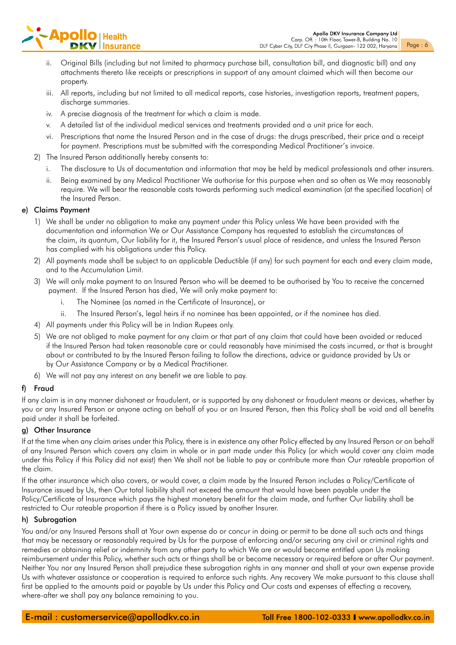# **Apoll**

- ii. Original Bills (including but not limited to pharmacy purchase bill, consultation bill, and diagnostic bill) and any attachments thereto like receipts or prescriptions in support of any amount claimed which will then become our property.
- iii. All reports, including but not limited to all medical reports, case histories, investigation reports, treatment papers, discharge summaries.
- iv. A precise diagnosis of the treatment for which a claim is made.
- v. A detailed list of the individual medical services and treatments provided and a unit price for each.
- vi. Prescriptions that name the Insured Person and in the case of drugs: the drugs prescribed, their price and a receipt for payment. Prescriptions must be submitted with the corresponding Medical Practitioner's invoice.
- 2) The Insured Person additionally hereby consents to:
	- i. The disclosure to Us of documentation and information that may be held by medical professionals and other insurers.
	- ii. Being examined by any Medical Practitioner We authorise for this purpose when and so often as We may reasonably require. We will bear the reasonable costs towards performing such medical examination (at the specified location) of the Insured Person.

#### e) Claims Payment

- 1) We shall be under no obligation to make any payment under this Policy unless We have been provided with the documentation and information We or Our Assistance Company has requested to establish the circumstances of the claim, its quantum, Our liability for it, the Insured Person's usual place of residence, and unless the Insured Person has complied with his obligations under this Policy.
- 2) All payments made shall be subject to an applicable Deductible (if any) for such payment for each and every claim made, and to the Accumulation Limit.
- 3) We will only make payment to an Insured Person who will be deemed to be authorised by You to receive the concerned payment. If the Insured Person has died, We will only make payment to:
	- i. The Nominee (as named in the Certificate of Insurance), or
	- ii. The Insured Person's, legal heirs if no nominee has been appointed, or if the nominee has died.
- 4) All payments under this Policy will be in Indian Rupees only.
- 5) We are not obliged to make payment for any claim or that part of any claim that could have been avoided or reduced if the Insured Person had taken reasonable care or could reasonably have minimised the costs incurred, or that is brought about or contributed to by the Insured Person failing to follow the directions, advice or guidance provided by Us or by Our Assistance Company or by a Medical Practitioner.
- 6) We will not pay any interest on any benefit we are liable to pay.

#### f) Fraud

If any claim is in any manner dishonest or fraudulent, or is supported by any dishonest or fraudulent means or devices, whether by you or any Insured Person or anyone acting on behalf of you or an Insured Person, then this Policy shall be void and all benefits paid under it shall be forfeited.

#### g) Other Insurance

If at the time when any claim arises under this Policy, there is in existence any other Policy effected by any Insured Person or on behalf of any Insured Person which covers any claim in whole or in part made under this Policy (or which would cover any claim made under this Policy if this Policy did not exist) then We shall not be liable to pay or contribute more than Our rateable proportion of the claim.

If the other insurance which also covers, or would cover, a claim made by the Insured Person includes a Policy/Certificate of Insurance issued by Us, then Our total liability shall not exceed the amount that would have been payable under the Policy/Certificate of Insurance which pays the highest monetary benefit for the claim made, and further Our liability shall be restricted to Our rateable proportion if there is a Policy issued by another Insurer.

#### h) Subrogation

You and/or any Insured Persons shall at Your own expense do or concur in doing or permit to be done all such acts and things that may be necessary or reasonably required by Us for the purpose of enforcing and/or securing any civil or criminal rights and remedies or obtaining relief or indemnity from any other party to which We are or would become entitled upon Us making reimbursement under this Policy, whether such acts or things shall be or become necessary or required before or after Our payment. Neither You nor any Insured Person shall prejudice these subrogation rights in any manner and shall at your own expense provide Us with whatever assistance or cooperation is required to enforce such rights. Any recovery We make pursuant to this clause shall first be applied to the amounts paid or payable by Us under this Policy and Our costs and expenses of effecting a recovery, where-after we shall pay any balance remaining to you.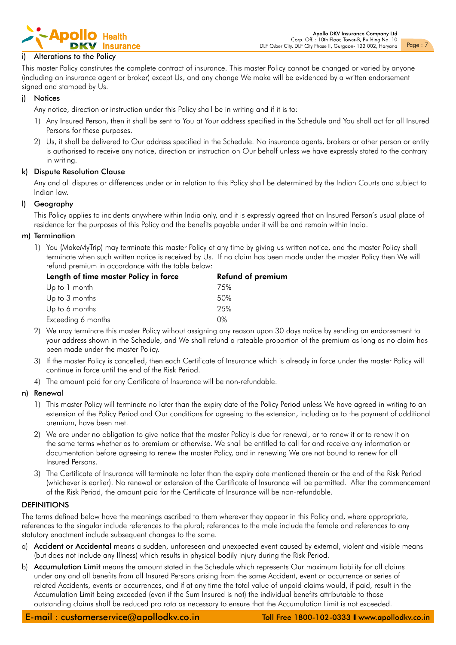

#### i) Alterations to the Policy

This master Policy constitutes the complete contract of insurance. This master Policy cannot be changed or varied by anyone (including an insurance agent or broker) except Us, and any change We make will be evidenced by a written endorsement signed and stamped by Us.

#### j) Notices

Any notice, direction or instruction under this Policy shall be in writing and if it is to:

- 1) Any Insured Person, then it shall be sent to You at Your address specified in the Schedule and You shall act for all Insured Persons for these purposes.
- 2) Us, it shall be delivered to Our address specified in the Schedule. No insurance agents, brokers or other person or entity is authorised to receive any notice, direction or instruction on Our behalf unless we have expressly stated to the contrary in writing.

#### k) Dispute Resolution Clause

Any and all disputes or differences under or in relation to this Policy shall be determined by the Indian Courts and subject to Indian law.

#### l) Geography

This Policy applies to incidents anywhere within India only, and it is expressly agreed that an Insured Person's usual place of residence for the purposes of this Policy and the benefits payable under it will be and remain within India.

#### m) Termination

1) You (MakeMyTrip) may terminate this master Policy at any time by giving us written notice, and the master Policy shall terminate when such written notice is received by Us. If no claim has been made under the master Policy then We will refund premium in accordance with the table below:

| Length of time master Policy in force | <b>Refund of premium</b> |  |
|---------------------------------------|--------------------------|--|
| Up to 1 month                         | 75%                      |  |
| Up to 3 months                        | 50%                      |  |
| Up to 6 months                        | 25%                      |  |
| Exceeding 6 months                    | $0\%$                    |  |

- 2) We may terminate this master Policy without assigning any reason upon 30 days notice by sending an endorsement to your address shown in the Schedule, and We shall refund a rateable proportion of the premium as long as no claim has been made under the master Policy.
- 3) If the master Policy is cancelled, then each Certificate of Insurance which is already in force under the master Policy will continue in force until the end of the Risk Period.
- 4) The amount paid for any Certificate of Insurance will be non-refundable.

#### n) Renewal

- 1) This master Policy will terminate no later than the expiry date of the Policy Period unless We have agreed in writing to an extension of the Policy Period and Our conditions for agreeing to the extension, including as to the payment of additional premium, have been met.
- 2) We are under no obligation to give notice that the master Policy is due for renewal, or to renew it or to renew it on the same terms whether as to premium or otherwise. We shall be entitled to call for and receive any information or documentation before agreeing to renew the master Policy, and in renewing We are not bound to renew for all Insured Persons.
- 3) The Certificate of Insurance will terminate no later than the expiry date mentioned therein or the end of the Risk Period (whichever is earlier). No renewal or extension of the Certificate of Insurance will be permitted. After the commencement of the Risk Period, the amount paid for the Certificate of Insurance will be non-refundable.

#### **DEFINITIONS**

The terms defined below have the meanings ascribed to them wherever they appear in this Policy and, where appropriate, references to the singular include references to the plural; references to the male include the female and references to any statutory enactment include subsequent changes to the same.

- a) Accident or Accidental means a sudden, unforeseen and unexpected event caused by external, violent and visible means (but does not include any Illness) which results in physical bodily injury during the Risk Period.
- b) Accumulation Limit means the amount stated in the Schedule which represents Our maximum liability for all claims under any and all benefits from all Insured Persons arising from the same Accident, event or occurrence or series of related Accidents, events or occurrences, and if at any time the total value of unpaid claims would, if paid, result in the Accumulation Limit being exceeded (even if the Sum Insured is not) the individual benefits attributable to those outstanding claims shall be reduced pro rata as necessary to ensure that the Accumulation Limit is not exceeded.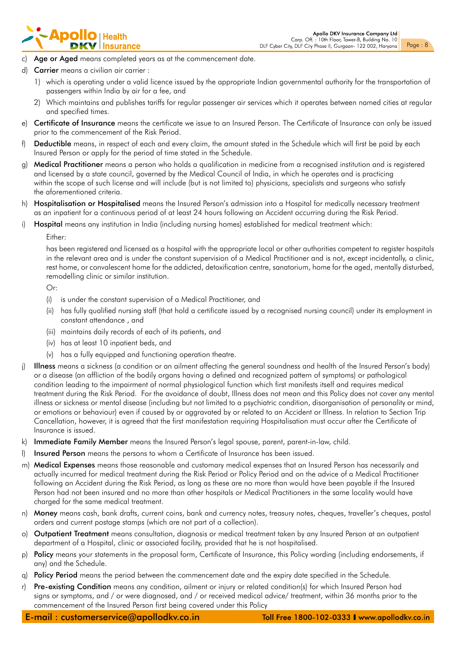## - **Apollo** | Health

- c) Age or Aged means completed years as at the commencement date.
- d) Carrier means a civilian air carrier :
	- 1) which is operating under a valid licence issued by the appropriate Indian governmental authority for the transportation of passengers within India by air for a fee, and
	- 2) Which maintains and publishes tariffs for regular passenger air services which it operates between named cities at regular and specified times.
- e) Certificate of Insurance means the certificate we issue to an Insured Person. The Certificate of Insurance can only be issued prior to the commencement of the Risk Period.
- f) Deductible means, in respect of each and every claim, the amount stated in the Schedule which will first be paid by each Insured Person or apply for the period of time stated in the Schedule.
- g) Medical Practitioner means a person who holds a qualification in medicine from a recognised institution and is registered and licensed by a state council, governed by the Medical Council of India, in which he operates and is practicing within the scope of such license and will include (but is not limited to) physicians, specialists and surgeons who satisfy the aforementioned criteria.
- h) Hospitalisation or Hospitalised means the Insured Person's admission into a Hospital for medically necessary treatment as an inpatient for a continuous period of at least 24 hours following an Accident occurring during the Risk Period.
- i) Hospital means any institution in India (including nursing homes) established for medical treatment which:

#### Either:

has been registered and licensed as a hospital with the appropriate local or other authorities competent to register hospitals in the relevant area and is under the constant supervision of a Medical Practitioner and is not, except incidentally, a clinic, rest home, or convalescent home for the addicted, detoxification centre, sanatorium, home for the aged, mentally disturbed, remodelling clinic or similar institution.

Or:

- (i) is under the constant supervision of a Medical Practitioner, and
- (ii) has fully qualified nursing staff (that hold a certificate issued by a recognised nursing council) under its employment in constant attendance , and
- (iii) maintains daily records of each of its patients, and
- (iv) has at least 10 inpatient beds, and
- (v) has a fully equipped and functioning operation theatre.
- j) Illness means a sickness (a condition or an ailment affecting the general soundness and health of the Insured Person's body) or a disease (an affliction of the bodily organs having a defined and recognized pattern of symptoms) or pathological condition leading to the impairment of normal physiological function which first manifests itself and requires medical treatment during the Risk Period. For the avoidance of doubt, Illness does not mean and this Policy does not cover any mental illness or sickness or mental disease (including but not limited to a psychiatric condition, disorganisation of personality or mind, or emotions or behaviour) even if caused by or aggravated by or related to an Accident or Illness. In relation to Section Trip Cancellation, however, it is agreed that the first manifestation requiring Hospitalisation must occur after the Certificate of Insurance is issued.
- k) Immediate Family Member means the Insured Person's legal spouse, parent, parent-in-law, child.
- I) Insured Person means the persons to whom a Certificate of Insurance has been issued.
- m) Medical Expenses means those reasonable and customary medical expenses that an Insured Person has necessarily and actually incurred for medical treatment during the Risk Period or Policy Period and on the advice of a Medical Practitioner following an Accident during the Risk Period, as long as these are no more than would have been payable if the Insured Person had not been insured and no more than other hospitals or Medical Practitioners in the same locality would have charged for the same medical treatment.
- n) Money means cash, bank drafts, current coins, bank and currency notes, treasury notes, cheques, traveller's cheques, postal orders and current postage stamps (which are not part of a collection).
- o) Outpatient Treatment means consultation, diagnosis or medical treatment taken by any Insured Person at an outpatient department of a Hospital, clinic or associated facility, provided that he is not hospitalised.
- p) Policy means your statements in the proposal form, Certificate of Insurance, this Policy wording (including endorsements, if any) and the Schedule.
- q) Policy Period means the period between the commencement date and the expiry date specified in the Schedule.
- r) Pre-existing Condition means any condition, ailment or injury or related condition(s) for which Insured Person had signs or symptoms, and / or were diagnosed, and / or received medical advice/ treatment, within 36 months prior to the commencement of the Insured Person first being covered under this Policy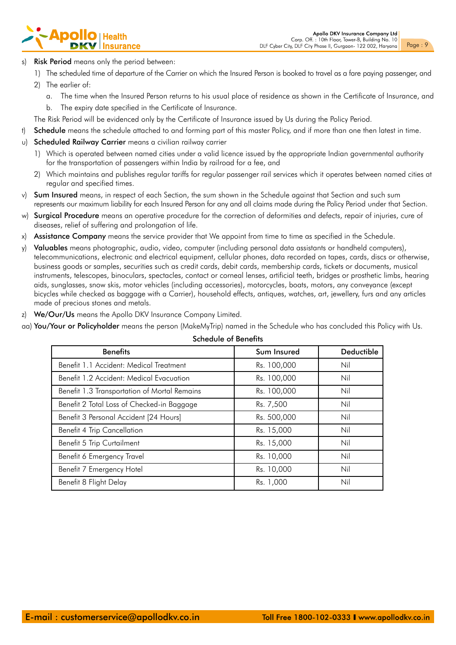# Apol

- **Risk Period** means only the period between:
	- 1) The scheduled time of departure of the Carrier on which the Insured Person is booked to travel as a fare paying passenger, and
	- 2) The earlier of:
		- a. The time when the Insured Person returns to his usual place of residence as shown in the Certificate of Insurance, and
		- b. The expiry date specified in the Certificate of Insurance.
- The Risk Period will be evidenced only by the Certificate of Insurance issued by Us during the Policy Period.
- t) Schedule means the schedule attached to and forming part of this master Policy, and if more than one then latest in time.
- u) Scheduled Railway Carrier means a civilian railway carrier
	- 1) Which is operated between named cities under a valid licence issued by the appropriate Indian governmental authority for the transportation of passengers within India by railroad for a fee, and
	- 2) Which maintains and publishes regular tariffs for regular passenger rail services which it operates between named cities at regular and specified times.
- v) Sum Insured means, in respect of each Section, the sum shown in the Schedule against that Section and such sum represents our maximum liability for each Insured Person for any and all claims made during the Policy Period under that Section.
- w) Surgical Procedure means an operative procedure for the correction of deformities and defects, repair of injuries, cure of diseases, relief of suffering and prolongation of life.
- x) Assistance Company means the service provider that We appoint from time to time as specified in the Schedule.
- y) Valuables means photographic, audio, video, computer (including personal data assistants or handheld computers), telecommunications, electronic and electrical equipment, cellular phones, data recorded on tapes, cards, discs or otherwise, business goods or samples, securities such as credit cards, debit cards, membership cards, tickets or documents, musical instruments, telescopes, binoculars, spectacles, contact or corneal lenses, artificial teeth, bridges or prosthetic limbs, hearing aids, sunglasses, snow skis, motor vehicles (including accessories), motorcycles, boats, motors, any conveyance (except bicycles while checked as baggage with a Carrier), household effects, antiques, watches, art, jewellery, furs and any articles made of precious stones and metals.
- z) We/Our/Us means the Apollo DKV Insurance Company Limited.
- aa) You/Your or Policyholder means the person (MakeMyTrip) named in the Schedule who has concluded this Policy with Us.

| <b>Benefits</b>                              | Sum Insured | Deductible |
|----------------------------------------------|-------------|------------|
| Benefit 1.1 Accident: Medical Treatment      | Rs. 100,000 | Nil        |
| Benefit 1.2 Accident: Medical Evacuation     | Rs. 100,000 | Nil        |
| Benefit 1.3 Transportation of Mortal Remains | Rs. 100,000 | Nil        |
| Benefit 2 Total Loss of Checked-in Baggage   | Rs. 7,500   | Nil        |
| Benefit 3 Personal Accident [24 Hours]       | Rs. 500,000 | Nil        |
| <b>Benefit 4 Trip Cancellation</b>           | Rs. 15,000  | Nil        |
| Benefit 5 Trip Curtailment                   | Rs. 15,000  | Nil        |
| Benefit 6 Emergency Travel                   | Rs. 10,000  | Nil        |
| Benefit 7 Emergency Hotel                    | Rs. 10,000  | Nil        |
| Benefit 8 Flight Delay                       | Rs. 1,000   | Nil        |
|                                              |             |            |

#### Schedule of Benefits